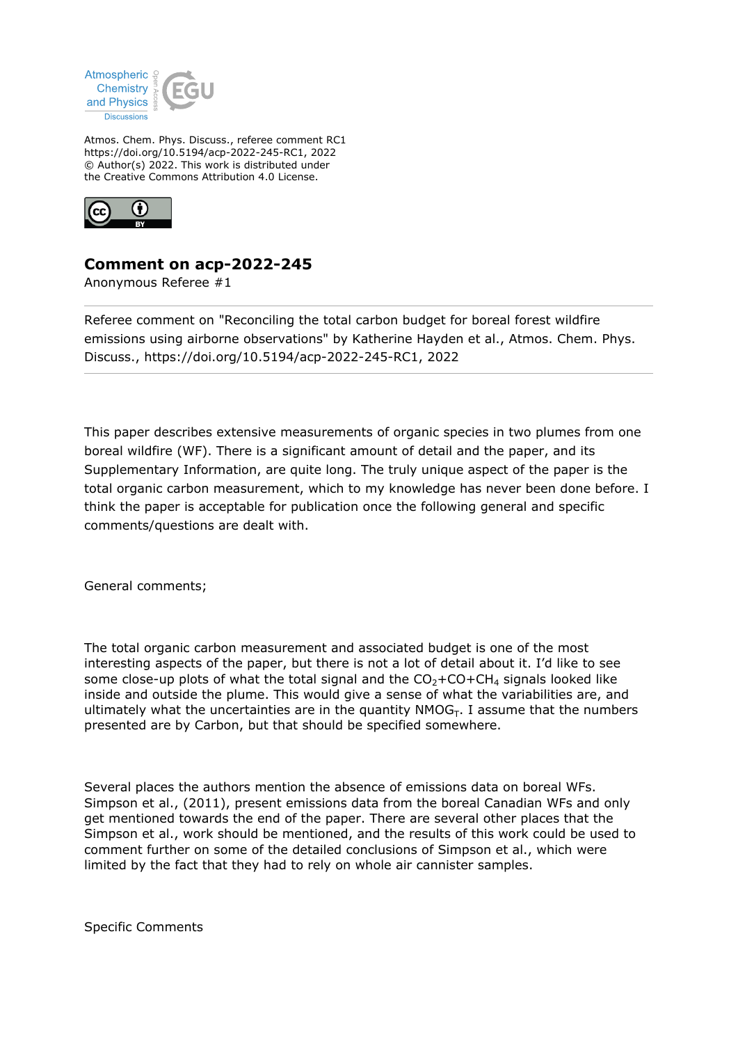

Atmos. Chem. Phys. Discuss., referee comment RC1 https://doi.org/10.5194/acp-2022-245-RC1, 2022 © Author(s) 2022. This work is distributed under the Creative Commons Attribution 4.0 License.



## **Comment on acp-2022-245**

Anonymous Referee #1

Referee comment on "Reconciling the total carbon budget for boreal forest wildfire emissions using airborne observations" by Katherine Hayden et al., Atmos. Chem. Phys. Discuss., https://doi.org/10.5194/acp-2022-245-RC1, 2022

This paper describes extensive measurements of organic species in two plumes from one boreal wildfire (WF). There is a significant amount of detail and the paper, and its Supplementary Information, are quite long. The truly unique aspect of the paper is the total organic carbon measurement, which to my knowledge has never been done before. I think the paper is acceptable for publication once the following general and specific comments/questions are dealt with.

General comments;

The total organic carbon measurement and associated budget is one of the most interesting aspects of the paper, but there is not a lot of detail about it. I'd like to see some close-up plots of what the total signal and the  $CO<sub>2</sub>+CO+CH<sub>4</sub>$  signals looked like inside and outside the plume. This would give a sense of what the variabilities are, and ultimately what the uncertainties are in the quantity  $NMOG_T$ . I assume that the numbers presented are by Carbon, but that should be specified somewhere.

Several places the authors mention the absence of emissions data on boreal WFs. Simpson et al., (2011), present emissions data from the boreal Canadian WFs and only get mentioned towards the end of the paper. There are several other places that the Simpson et al., work should be mentioned, and the results of this work could be used to comment further on some of the detailed conclusions of Simpson et al., which were limited by the fact that they had to rely on whole air cannister samples.

Specific Comments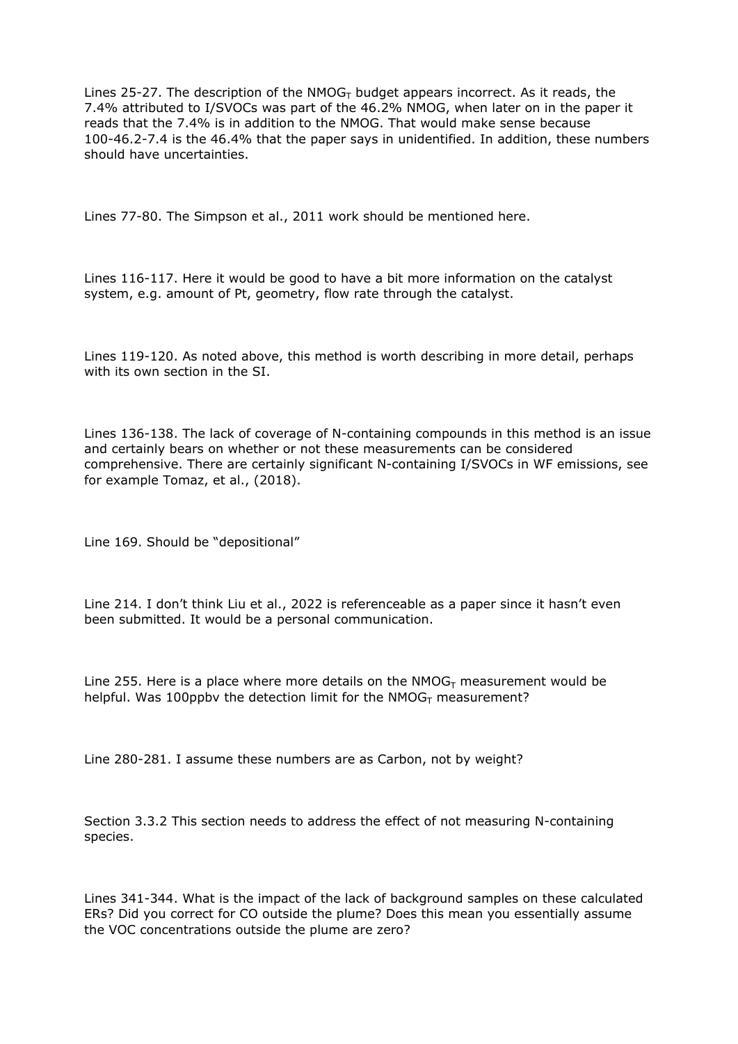Lines 25-27. The description of the  $NMOG<sub>T</sub>$  budget appears incorrect. As it reads, the 7.4% attributed to I/SVOCs was part of the 46.2% NMOG, when later on in the paper it reads that the 7.4% is in addition to the NMOG. That would make sense because 100-46.2-7.4 is the 46.4% that the paper says in unidentified. In addition, these numbers should have uncertainties.

Lines 77-80. The Simpson et al., 2011 work should be mentioned here.

Lines 116-117. Here it would be good to have a bit more information on the catalyst system, e.g. amount of Pt, geometry, flow rate through the catalyst.

Lines 119-120. As noted above, this method is worth describing in more detail, perhaps with its own section in the SI.

Lines 136-138. The lack of coverage of N-containing compounds in this method is an issue and certainly bears on whether or not these measurements can be considered comprehensive. There are certainly significant N-containing I/SVOCs in WF emissions, see for example Tomaz, et al., (2018).

Line 169. Should be "depositional"

Line 214. I don't think Liu et al., 2022 is referenceable as a paper since it hasn't even been submitted. It would be a personal communication.

Line 255. Here is a place where more details on the  $NMOG<sub>T</sub>$  measurement would be helpful. Was 100ppbv the detection limit for the  $NMOG<sub>T</sub>$  measurement?

Line 280-281. I assume these numbers are as Carbon, not by weight?

Section 3.3.2 This section needs to address the effect of not measuring N-containing species.

Lines 341-344. What is the impact of the lack of background samples on these calculated ERs? Did you correct for CO outside the plume? Does this mean you essentially assume the VOC concentrations outside the plume are zero?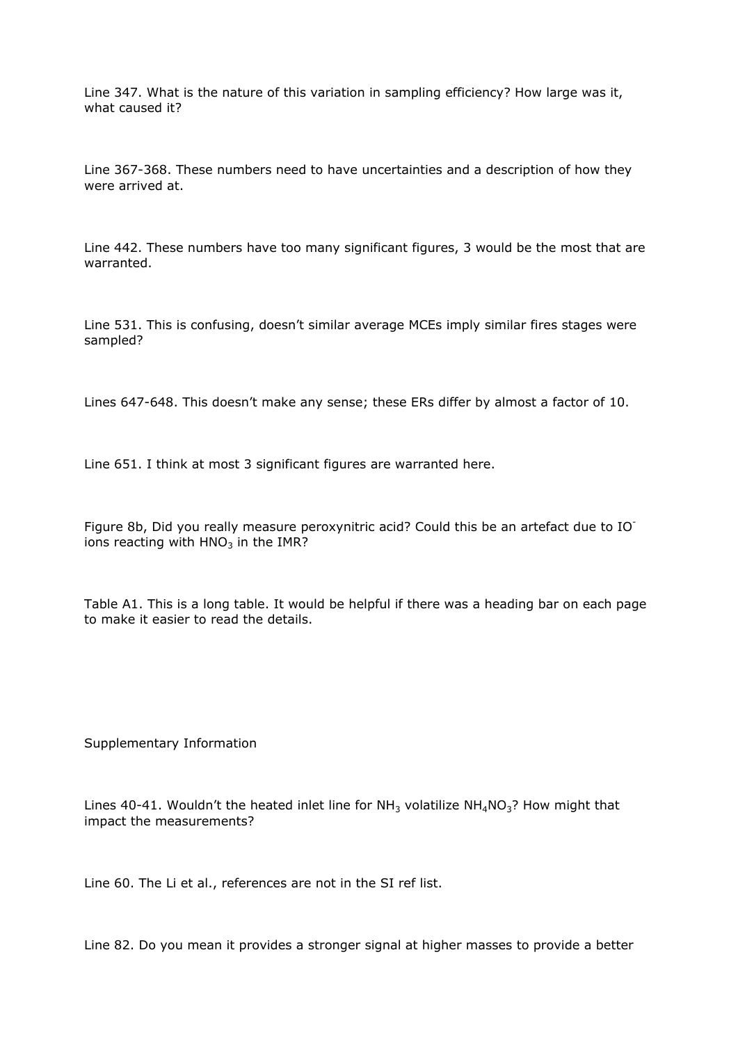Line 347. What is the nature of this variation in sampling efficiency? How large was it, what caused it?

Line 367-368. These numbers need to have uncertainties and a description of how they were arrived at.

Line 442. These numbers have too many significant figures, 3 would be the most that are warranted.

Line 531. This is confusing, doesn't similar average MCEs imply similar fires stages were sampled?

Lines 647-648. This doesn't make any sense; these ERs differ by almost a factor of 10.

Line 651. I think at most 3 significant figures are warranted here.

Figure 8b, Did you really measure peroxynitric acid? Could this be an artefact due to IOions reacting with  $HNO<sub>3</sub>$  in the IMR?

Table A1. This is a long table. It would be helpful if there was a heading bar on each page to make it easier to read the details.

Supplementary Information

Lines 40-41. Wouldn't the heated inlet line for  $NH<sub>3</sub>$  volatilize  $NH<sub>4</sub>NO<sub>3</sub>$ ? How might that impact the measurements?

Line 60. The Li et al., references are not in the SI ref list.

Line 82. Do you mean it provides a stronger signal at higher masses to provide a better